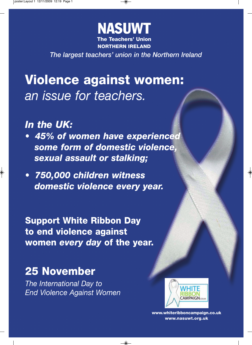

**NORTHERN IRELAND**

*The largest teachers' union in the Northern Ireland*

 $\circledast$ 

## **Violence against women:**  *an issue for teachers.*

*In the UK:* 

 $\color{red} \blacklozenge$ 

- *45% of women have experienced some form of domestic violence, sexual assault or stalking;*
- *750,000 children witness domestic violence every year.*

**Support White Ribbon Day to end violence against women** *every day* **of the year.**

### **25 November**

*The International Day to End Violence Against Women*



 $\frac{1}{2}$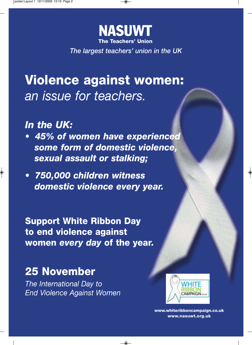

*The largest teachers' union in the UK*

## **Violence against women:**  *an issue for teachers.*

*In the UK:* 

 $\color{black}\blacklozenge$ 

- *45% of women have experienced some form of domestic violence, sexual assault or stalking;*
- *750,000 children witness domestic violence every year.*

**Support White Ribbon Day to end violence against women** *every day* **of the year.**

⋒

### **25 November**

*The International Day to End Violence Against Women*



 $\frac{1}{2}$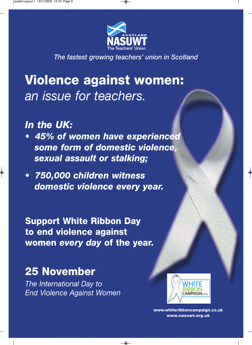

*The fastest growing teachers' union in Scotland*

 $\spadesuit$ 

# **Violence against women:**  *an issue for teachers.*

*In the UK:* 

 $\color{red} \blacklozenge$ 

- *45% of women have experienced some form of domestic violence, sexual assault or stalking;*
- *750,000 children witness domestic violence every year.*

**Support White Ribbon Day to end violence against women** *every day* **of the year.**

### **25 November**

*The International Day to End Violence Against Women*



 $\frac{1}{2}$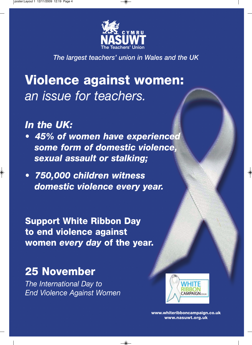

*The largest teachers' union in Wales and the UK*

 $\circledast$ 

# **Violence against women:**  *an issue for teachers.*

*In the UK:* 

 $\color{black}\blacklozenge$ 

- *45% of women have experienced some form of domestic violence, sexual assault or stalking;*
- *750,000 children witness domestic violence every year.*

**Support White Ribbon Day to end violence against women** *every day* **of the year.**

### **25 November**

*The International Day to End Violence Against Women*



 $\frac{1}{2}$